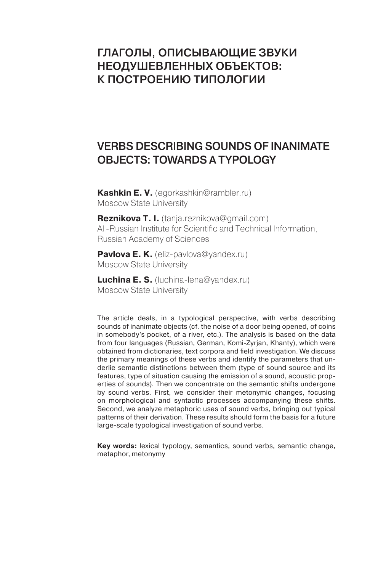# ГлаГолы, описывающие звуки неодушевленных объектов: к построению типолоГии

# Verbs describing sounds of inanimate objects: towards a typology

**Kashkin E. V.** (egorkashkin@rambler.ru) Moscow State University

**Reznikova T. I.** (tanja.reznikova@gmail.com) All-Russian Institute for Scientific and Technical Information, Russian Academy of Sciences

**Pavlova E. K.** (eliz-pavlova@yandex.ru) Moscow State University

**Luchina E. S.** (luchina-lena@yandex.ru) Moscow State University

The article deals, in a typological perspective, with verbs describing sounds of inanimate objects (cf. the noise of a door being opened, of coins in somebody's pocket, of a river, etc.). The analysis is based on the data from four languages (Russian, German, Komi-Zyrjan, Khanty), which were obtained from dictionaries, text corpora and field investigation. We discuss the primary meanings of these verbs and identify the parameters that underlie semantic distinctions between them (type of sound source and its features, type of situation causing the emission of a sound, acoustic properties of sounds). Then we concentrate on the semantic shifts undergone by sound verbs. First, we consider their metonymic changes, focusing on morphological and syntactic processes accompanying these shifts. Second, we analyze metaphoric uses of sound verbs, bringing out typical patterns of their derivation. These results should form the basis for a future large-scale typological investigation of sound verbs.

**Key words:** lexical typology, semantics, sound verbs, semantic change, metaphor, metonymy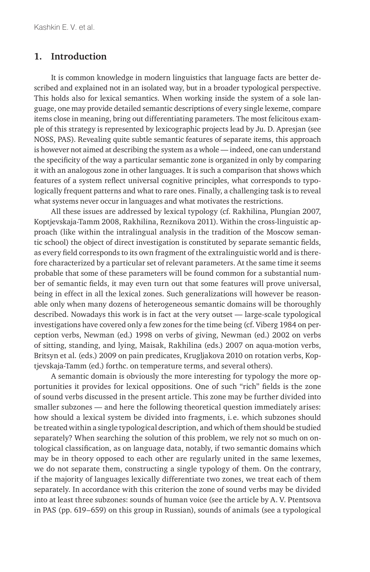#### **1. Introduction**

It is common knowledge in modern linguistics that language facts are better described and explained not in an isolated way, but in a broader typological perspective. This holds also for lexical semantics. When working inside the system of a sole language, one may provide detailed semantic descriptions of every single lexeme, compare items close in meaning, bring out differentiating parameters. The most felicitous example of this strategy is represented by lexicographic projects lead by Ju. D. Apresjan (see NOSS, PAS). Revealing quite subtle semantic features of separate items, this approach is however not aimed at describing the system as a whole — indeed, one can understand the specificity of the way a particular semantic zone is organized in only by comparing it with an analogous zone in other languages. It is such a comparison that shows which features of a system reflect universal cognitive principles, what corresponds to typologically frequent patterns and what to rare ones. Finally, a challenging task is to reveal what systems never occur in languages and what motivates the restrictions.

All these issues are addressed by lexical typology (cf. Rakhilina, Plungian 2007, Koptjevskaja-Tamm 2008, Rakhilina, Reznikova 2011). Within the cross-linguistic approach (like within the intralingual analysis in the tradition of the Moscow semantic school) the object of direct investigation is constituted by separate semantic fields, as every field corresponds to its own fragment of the extralinguistic world and is therefore characterized by a particular set of relevant parameters. At the same time it seems probable that some of these parameters will be found common for a substantial number of semantic fields, it may even turn out that some features will prove universal, being in effect in all the lexical zones. Such generalizations will however be reasonable only when many dozens of heterogeneous semantic domains will be thoroughly described. Nowadays this work is in fact at the very outset — large-scale typological investigations have covered only a few zones for the time being (cf. Viberg 1984 on perception verbs, Newman (ed.) 1998 on verbs of giving, Newman (ed.) 2002 on verbs of sitting, standing, and lying, Maisak, Rakhilina (eds.) 2007 on aqua-motion verbs, Britsyn et al. (eds.) 2009 on pain predicates, Krugljakova 2010 on rotation verbs, Koptjevskaja-Tamm (ed.) forthc. on temperature terms, and several others).

A semantic domain is obviously the more interesting for typology the more opportunities it provides for lexical oppositions. One of such "rich" fields is the zone of sound verbs discussed in the present article. This zone may be further divided into smaller subzones — and here the following theoretical question immediately arises: how should a lexical system be divided into fragments, i. e. which subzones should be treated within a single typological description, and which of them should be studied separately? When searching the solution of this problem, we rely not so much on ontological classification, as on language data, notably, if two semantic domains which may be in theory opposed to each other are regularly united in the same lexemes, we do not separate them, constructing a single typology of them. On the contrary, if the majority of languages lexically differentiate two zones, we treat each of them separately. In accordance with this criterion the zone of sound verbs may be divided into at least three subzones: sounds of human voice (see the article by A. V. Ptentsova in PAS (pp. 619–659) on this group in Russian), sounds of animals (see a typological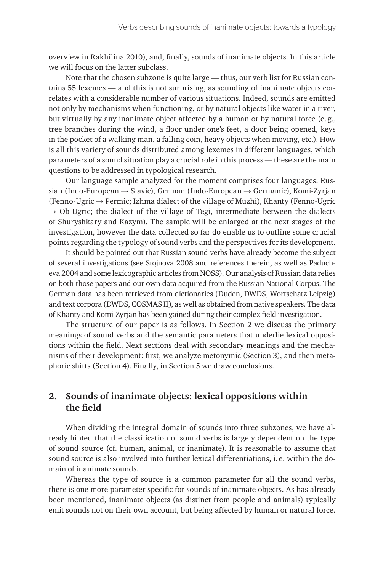overview in Rakhilina 2010), and, finally, sounds of inanimate objects. In this article we will focus on the latter subclass.

Note that the chosen subzone is quite large — thus, our verb list for Russian contains 55 lexemes — and this is not surprising, as sounding of inanimate objects correlates with a considerable number of various situations. Indeed, sounds are emitted not only by mechanisms when functioning, or by natural objects like water in a river, but virtually by any inanimate object affected by a human or by natural force (e.g., tree branches during the wind, a floor under one's feet, a door being opened, keys in the pocket of a walking man, a falling coin, heavy objects when moving, etc.). How is all this variety of sounds distributed among lexemes in different languages, which parameters of a sound situation play a crucial role in this process — these are the main questions to be addressed in typological research.

Our language sample analyzed for the moment comprises four languages: Russian (Indo-European → Slavic), German (Indo-European → Germanic), Komi-Zyrjan (Fenno-Ugric → Permic; Izhma dialect of the village of Muzhi), Khanty (Fenno-Ugric  $\rightarrow$  Ob-Ugric; the dialect of the village of Tegi, intermediate between the dialects of Shuryshkary and Kazym). The sample will be enlarged at the next stages of the investigation, however the data collected so far do enable us to outline some crucial points regarding the typology of sound verbs and the perspectives for its development.

It should be pointed out that Russian sound verbs have already become the subject of several investigations (see Stojnova 2008 and references therein, as well as Paducheva 2004 and some lexicographic articles from NOSS). Our analysis of Russian data relies on both those papers and our own data acquired from the Russian National Corpus. The German data has been retrieved from dictionaries (Duden, DWDS, Wortschatz Leipzig) and text corpora (DWDS, COSMAS II), as well as obtained from native speakers. The data of Khanty and Komi-Zyrjan has been gained during their complex field investigation.

The structure of our paper is as follows. In Section 2 we discuss the primary meanings of sound verbs and the semantic parameters that underlie lexical oppositions within the field. Next sections deal with secondary meanings and the mechanisms of their development: first, we analyze metonymic (Section 3), and then metaphoric shifts (Section 4). Finally, in Section 5 we draw conclusions.

### **2. Sounds of inanimate objects: lexical oppositions within the field**

When dividing the integral domain of sounds into three subzones, we have already hinted that the classification of sound verbs is largely dependent on the type of sound source (cf. human, animal, or inanimate). It is reasonable to assume that sound source is also involved into further lexical differentiations, i. e. within the domain of inanimate sounds.

Whereas the type of source is a common parameter for all the sound verbs, there is one more parameter specific for sounds of inanimate objects. As has already been mentioned, inanimate objects (as distinct from people and animals) typically emit sounds not on their own account, but being affected by human or natural force.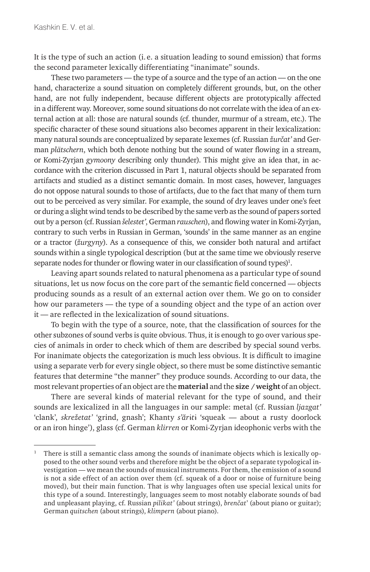It is the type of such an action (i. e. a situation leading to sound emission) that forms the second parameter lexically differentiating "inanimate" sounds.

These two parameters — the type of a source and the type of an action — on the one hand, characterize a sound situation on completely different grounds, but, on the other hand, are not fully independent, because different objects are prototypically affected in a different way. Moreover, some sound situations do not correlate with the idea of an external action at all: those are natural sounds (cf. thunder, murmur of a stream, etc.). The specific character of these sound situations also becomes apparent in their lexicalization: many natural sounds are conceptualized by separate lexemes (cf. Russian *žurčat'* and German *plätschern*, which both denote nothing but the sound of water flowing in a stream, or Komi-Zyrjan *gymoony* describing only thunder). This might give an idea that, in accordance with the criterion discussed in Part 1, natural objects should be separated from artifacts and studied as a distinct semantic domain. In most cases, however, languages do not oppose natural sounds to those of artifacts, due to the fact that many of them turn out to be perceived as very similar. For example, the sound of dry leaves under one's feet or during a slight wind tends to be described by the same verb as the sound of papers sorted out by a person (cf. Russian *šelestet'*, German *rauschen*), and flowing water in Komi-Zyrjan, contrary to such verbs in Russian in German, 'sounds' in the same manner as an engine or a tractor (*žurgyny*). As a consequence of this, we consider both natural and artifact sounds within a single typological description (but at the same time we obviously reserve separate nodes for thunder or flowing water in our classification of sound types) $^1$ .

Leaving apart sounds related to natural phenomena as a particular type of sound situations, let us now focus on the core part of the semantic field concerned — objects producing sounds as a result of an external action over them. We go on to consider how our parameters — the type of a sounding object and the type of an action over it — are reflected in the lexicalization of sound situations.

To begin with the type of a source, note, that the classification of sources for the other subzones of sound verbs is quite obvious. Thus, it is enough to go over various species of animals in order to check which of them are described by special sound verbs. For inanimate objects the categorization is much less obvious. It is difficult to imagine using a separate verb for every single object, so there must be some distinctive semantic features that determine "the manner" they produce sounds. According to our data, the most relevant properties of an object are the **material** and the **size / weight** of an object.

There are several kinds of material relevant for the type of sound, and their sounds are lexicalized in all the languages in our sample: metal (cf. Russian *ljazgat'* 'clank', *skrežetat'* 'grind, gnash'; Khanty *s'ăr*ɨ*t*ɨ 'squeak — about a rusty doorlock or an iron hinge'), glass (cf. German *klirren* or Komi-Zyrjan ideophonic verbs with the

<sup>1</sup> There is still a semantic class among the sounds of inanimate objects which is lexically opposed to the other sound verbs and therefore might be the object of a separate typological investigation — we mean the sounds of musical instruments. For them, the emission of a sound is not a side effect of an action over them (cf. squeak of a door or noise of furniture being moved), but their main function. That is why languages often use special lexical units for this type of a sound. Interestingly, languages seem to most notably elaborate sounds of bad and unpleasant playing, cf. Russian *pilikat'* (about strings), *brenčat*' (about piano or guitar); German *quitschen* (about strings), *klimpern* (about piano).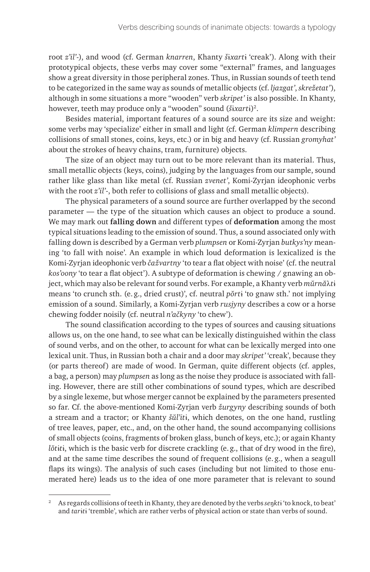root *z'il'*-), and wood (cf. German *knarren*, Khanty *š*ɨ*xart*ɨ 'creak'). Along with their prototypical objects, these verbs may cover some "external" frames, and languages show a great diversity in those peripheral zones. Thus, in Russian sounds of teeth tend to be categorized in the same way as sounds of metallic objects (cf. *ljazgat'*, *skrežetat'*), although in some situations a more "wooden" verb *skripet'* is also possible. In Khanty, however, teeth may produce only a "wooden" sound (*š*ɨ*xart*ɨ)2.

Besides material, important features of a sound source are its size and weight: some verbs may 'specialize' either in small and light (cf. German *klimpern* describing collisions of small stones, coins, keys, etc.) or in big and heavy (cf. Russian *gromyhat'* about the strokes of heavy chains, tram, furniture) objects.

The size of an object may turn out to be more relevant than its material. Thus, small metallic objects (keys, coins), judging by the languages from our sample, sound rather like glass than like metal (cf. Russian *zvenet'*, Komi-Zyrjan ideophonic verbs with the root *z'il'*-, both refer to collisions of glass and small metallic objects).

The physical parameters of a sound source are further overlapped by the second parameter — the type of the situation which causes an object to produce a sound. We may mark out **falling down** and different types of **deformation** among the most typical situations leading to the emission of sound. Thus, a sound associated only with falling down is described by a German verb *plumpsen* or Komi-Zyrjan *butkys'ny* meaning 'to fall with noise'. An example in which loud deformation is lexicalized is the Komi-Zyrjan ideophonic verb *čažvartny* 'to tear a flat object with noise' (сf. the neutral *kos'oony* 'to tear a flat object'). A subtype of deformation is chewing / gnawing an object, which may also be relevant for sound verbs. For example, a Khanty verb *mŭrnă*λ*t*ɨ means 'to crunch sth. (e.g., dried crust)', cf. neutral *pŏrt*ɨ 'to gnaw sth.' not implying emission of a sound. Similarly, a Komi-Zyrjan verb *rusjyny* describes a cow or a horse chewing fodder noisily (cf. neutral *n'ačkyny* 'to chew').

The sound classification according to the types of sources and causing situations allows us, on the one hand, to see what can be lexically distinguished within the class of sound verbs, and on the other, to account for what can be lexically merged into one lexical unit. Thus, in Russian both a chair and a door may *skripet'* 'creak', because they (or parts thereof) are made of wood. In German, quite different objects (cf. apples, a bag, a person) may *plumpsen* as long as the noise they produce is associated with falling. However, there are still other combinations of sound types, which are described by a single lexeme, but whose merger cannot be explained by the parameters presented so far. Cf. the above-mentioned Komi-Zyrjan verb *žurgyny* describing sounds of both a stream and a tractor; or Khanty *šŭl'it*ɨ, which denotes, on the one hand, rustling of tree leaves, paper, etc., and, on the other hand, the sound accompanying collisions of small objects (coins, fragments of broken glass, bunch of keys, etc.); or again Khanty *lŏtiti*, which is the basic verb for discrete crackling (e.g., that of dry wood in the fire), and at the same time describes the sound of frequent collisions (e.g., when a seagull flaps its wings). The analysis of such cases (including but not limited to those enumerated here) leads us to the idea of one more parameter that is relevant to sound

<sup>2</sup> As regards collisions of teeth in Khanty, they are denoted by the verbs *se*ŋ*kt*ɨ 'to knock, to beat' and *tar*ɨ*t*ɨ 'tremble', which are rather verbs of physical action or state than verbs of sound.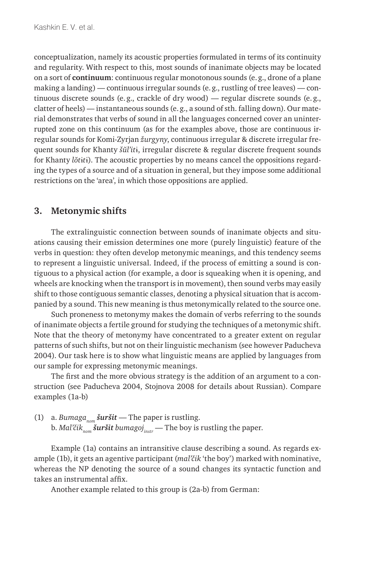conceptualization, namely its acoustic properties formulated in terms of its continuity and regularity. With respect to this, most sounds of inanimate objects may be located on a sort of **continuum**: continuous regular monotonous sounds (e.g., drone of a plane making a landing) — continuous irregular sounds (e.g., rustling of tree leaves) — continuous discrete sounds (e.g., crackle of dry wood) — regular discrete sounds (e.g., clatter of heels) — instantaneous sounds (e.g., a sound of sth. falling down). Our material demonstrates that verbs of sound in all the languages concerned cover an uninterrupted zone on this continuum (as for the examples above, those are continuous irregular sounds for Komi-Zyrjan *žurgyny*, continuous irregular & discrete irregular frequent sounds for Khanty *šŭl'it*ɨ, irregular discrete & regular discrete frequent sounds for Khanty *lŏt*ɨ*t*ɨ). The acoustic properties by no means cancel the oppositions regarding the types of a source and of a situation in general, but they impose some additional restrictions on the 'area', in which those oppositions are applied.

#### **3. Metonymic shifts**

The extralinguistic connection between sounds of inanimate objects and situations causing their emission determines one more (purely linguistic) feature of the verbs in question: they often develop metonymic meanings, and this tendency seems to represent a linguistic universal. Indeed, if the process of emitting a sound is contiguous to a physical action (for example, a door is squeaking when it is opening, and wheels are knocking when the transport is in movement), then sound verbs may easily shift to those contiguous semantic classes, denoting a physical situation that is accompanied by a sound. This new meaning is thus metonymically related to the source one.

Such proneness to metonymy makes the domain of verbs referring to the sounds of inanimate objects a fertile ground for studying the techniques of a metonymic shift. Note that the theory of metonymy have concentrated to a greater extent on regular patterns of such shifts, but not on their linguistic mechanism (see however Paducheva 2004). Our task here is to show what linguistic means are applied by languages from our sample for expressing metonymic meanings.

The first and the more obvious strategy is the addition of an argument to a construction (see Paducheva 2004, Stojnova 2008 for details about Russian). Compare examples (1a-b)

(1) a. *Bumaga<sub>nom</sub> šuršit* — The paper is rustling. b. *Mal'čik<sub>nom</sub> šuršit bumagoj<sub>instr</sub>* — The boy is rustling the paper.

Example (1a) contains an intransitive clause describing a sound. As regards example (1b), it gets an agentive participant (*mal'čik* 'the boy') marked with nominative, whereas the NP denoting the source of a sound changes its syntactic function and takes an instrumental affix.

Another example related to this group is (2a-b) from German: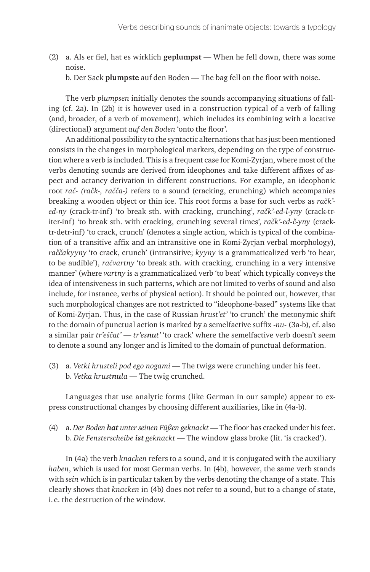(2) a. Als er fiel, hat es wirklich **geplumpst** — When he fell down, there was some noise.

b. Der Sack **plumpste** auf den Boden — The bag fell on the floor with noise.

The verb *plumpsen* initially denotes the sounds accompanying situations of falling (cf. 2a). In (2b) it is however used in a construction typical of a verb of falling (and, broader, of a verb of movement), which includes its combining with a locative (directional) argument *auf den Boden* 'onto the floor'.

An additional possibility to the syntactic alternations that has just been mentioned consists in the changes in morphological markers, depending on the type of construction where a verb is included. This is a frequent case for Komi-Zyrjan, where most of the verbs denoting sounds are derived from ideophones and take different affixes of aspect and actancy derivation in different constructions. For example, an ideophonic root *rač- (račk-, račča-)* refers to a sound (cracking, crunching) which accompanies breaking a wooden object or thin ice. This root forms a base for such verbs as *račk' ed-ny* (crack-tr-inf) 'to break sth. with cracking, crunching', *račk'-ed-l-yny* (crack-triter-inf) 'to break sth. with cracking, crunching several times', *račk'-ed-č-yny* (cracktr-detr-inf) 'to crack, crunch' (denotes a single action, which is typical of the combination of a transitive affix and an intransitive one in Komi-Zyrjan verbal morphology), *raččakyyny* 'to crack, crunch' (intransitive; *kyyny* is a grammaticalized verb 'to hear, to be audible'), *račvartny* 'to break sth. with cracking, crunching in a very intensive manner' (where *vartny* is a grammaticalized verb 'to beat' which typically conveys the idea of intensiveness in such patterns, which are not limited to verbs of sound and also include, for instance, verbs of physical action). It should be pointed out, however, that such morphological changes are not restricted to "ideophone-based" systems like that of Komi-Zyrjan. Thus, in the case of Russian *hrust'et'* 'to crunch' the metonymic shift to the domain of punctual action is marked by a semelfactive suffix -*nu*- (3a-b), cf. also a similar pair *tr'eščat'* — *tr'esnut'* 'to crack' where the semelfactive verb doesn't seem to denote a sound any longer and is limited to the domain of punctual deformation.

(3) a. *Vetki hrusteli pod ego nogami* — The twigs were crunching under his feet. b. *Vetka hrustnula* — The twig crunched.

Languages that use analytic forms (like German in our sample) appear to express constructional changes by choosing different auxiliaries, like in (4a-b).

(4) a. *Der Boden hat unter seinen Füßen geknackt* — The floor has cracked under his feet. b. *Die Fensterscheibe ist geknackt* — The window glass broke (lit. 'is cracked').

In (4a) the verb *knacken* refers to a sound, and it is conjugated with the auxiliary *haben*, which is used for most German verbs. In (4b), however, the same verb stands with *sein* which is in particular taken by the verbs denoting the change of a state. This clearly shows that *knacken* in (4b) does not refer to a sound, but to a change of state, i. e. the destruction of the window.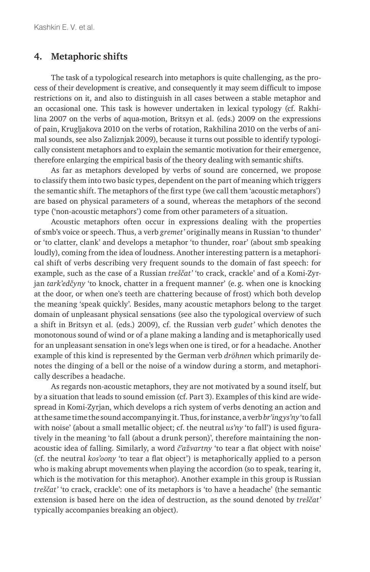#### **4. Metaphoric shifts**

The task of a typological research into metaphors is quite challenging, as the process of their development is creative, and consequently it may seem difficult to impose restrictions on it, and also to distinguish in all cases between a stable metaphor and an occasional one. This task is however undertaken in lexical typology (cf. Rakhilina 2007 on the verbs of aqua-motion, Britsyn et al. (eds.) 2009 on the expressions of pain, Krugljakova 2010 on the verbs of rotation, Rakhilina 2010 on the verbs of animal sounds, see also Zaliznjak 2009), because it turns out possible to identify typologically consistent metaphors and to explain the semantic motivation for their emergence, therefore enlarging the empirical basis of the theory dealing with semantic shifts.

As far as metaphors developed by verbs of sound are concerned, we propose to classify them into two basic types, dependent on the part of meaning which triggers the semantic shift. The metaphors of the first type (we call them 'acoustic metaphors') are based on physical parameters of a sound, whereas the metaphors of the second type ('non-acoustic metaphors') come from other parameters of a situation.

Acoustic metaphors often occur in expressions dealing with the properties of smb's voice or speech. Thus, a verb *gremet'* originally means in Russian 'to thunder' or 'to clatter, clank' and develops a metaphor 'to thunder, roar' (about smb speaking loudly), coming from the idea of loudness. Another interesting pattern is a metaphorical shift of verbs describing very frequent sounds to the domain of fast speech: for example, such as the case of a Russian *treščat'* 'to crack, crackle' and of a Komi-Zyrjan *tark'edčyny* 'to knock, chatter in a frequent manner' (e. g. when one is knocking at the door, or when one's teeth are chattering because of frost) which both develop the meaning 'speak quickly'. Besides, many acoustic metaphors belong to the target domain of unpleasant physical sensations (see also the typological overview of such a shift in Britsyn et al. (eds.) 2009), cf. the Russian verb *gudet'* which denotes the monotonous sound of wind or of a plane making a landing and is metaphorically used for an unpleasant sensation in one's legs when one is tired, or for a headache. Another example of this kind is represented by the German verb *dröhnen* which primarily denotes the dinging of a bell or the noise of a window during a storm, and metaphorically describes a headache.

As regards non-acoustic metaphors, they are not motivated by a sound itself, but by a situation that leads to sound emission (cf. Part 3). Examples of this kind are widespread in Komi-Zyrjan, which develops a rich system of verbs denoting an action and at the same time the sound accompanying it. Thus, for instance, a verb *br'ingys'ny* 'to fall with noise' (about a small metallic object; cf. the neutral *us'ny* 'to fall') is used figuratively in the meaning 'to fall (about a drunk person)', therefore maintaining the nonacoustic idea of falling. Similarly, a word *č'ažvartny* 'to tear a flat object with noise' (cf. the neutral *kos'oony* 'to tear a flat object') is metaphorically applied to a person who is making abrupt movements when playing the accordion (so to speak, tearing it, which is the motivation for this metaphor). Another example in this group is Russian *treščat'* 'to crack, crackle': one of its metaphors is 'to have a headache' (the semantic extension is based here on the idea of destruction, as the sound denoted by *treščat'* typically accompanies breaking an object).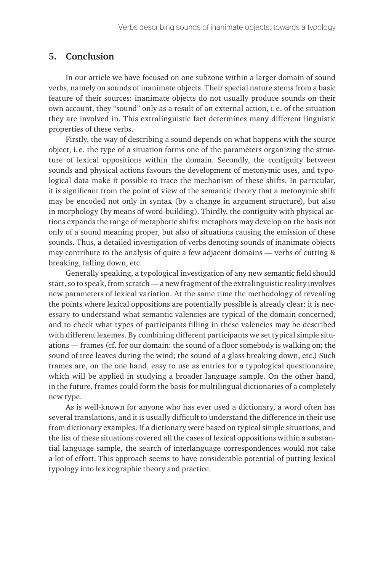### **5. Conclusion**

In our article we have focused on one subzone within a larger domain of sound verbs, namely on sounds of inanimate objects. Their special nature stems from a basic feature of their sources: inanimate objects do not usually produce sounds on their own account, they "sound" only as a result of an external action, i. e. of the situation they are involved in. This extralinguistic fact determines many different linguistic properties of these verbs.

Firstly, the way of describing a sound depends on what happens with the source object, i. e. the type of a situation forms one of the parameters organizing the structure of lexical oppositions within the domain. Secondly, the contiguity between sounds and physical actions favours the development of metonymic uses, and typological data make it possible to trace the mechanism of these shifts. In particular, it is significant from the point of view of the semantic theory that a metonymic shift may be encoded not only in syntax (by a change in argument structure), but also in morphology (by means of word-building). Thirdly, the contiguity with physical actions expands the range of metaphoric shifts: metaphors may develop on the basis not only of a sound meaning proper, but also of situations causing the emission of these sounds. Thus, a detailed investigation of verbs denoting sounds of inanimate objects may contribute to the analysis of quite a few adjacent domains — verbs of cutting & breaking, falling down, etc.

Generally speaking, a typological investigation of any new semantic field should start, so to speak, from scratch — a new fragment of the extralinguistic reality involves new parameters of lexical variation. At the same time the methodology of revealing the points where lexical oppositions are potentially possible is already clear: it is necessary to understand what semantic valencies are typical of the domain concerned, and to check what types of participants filling in these valencies may be described with different lexemes. By combining different participants we set typical simple situations — frames (cf. for our domain: the sound of a floor somebody is walking on; the sound of tree leaves during the wind; the sound of a glass breaking down, etc.) Such frames are, on the one hand, easy to use as entries for a typological questionnaire, which will be applied in studying a broader language sample. On the other hand, in the future, frames could form the basis for multilingual dictionaries of a completely new type.

As is well-known for anyone who has ever used a dictionary, a word often has several translations, and it is usually difficult to understand the difference in their use from dictionary examples. If a dictionary were based on typical simple situations, and the list of these situations covered all the cases of lexical oppositions within a substantial language sample, the search of interlanguage correspondences would not take a lot of effort. This approach seems to have considerable potential of putting lexical typology into lexicographic theory and practice.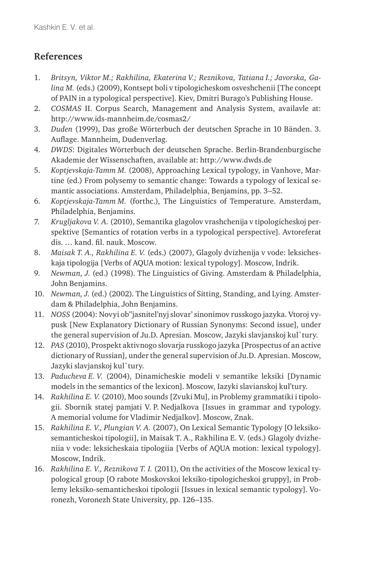## **References**

- 1. *Britsyn, Viktor M.; Rakhilina, Ekaterina V.; Reznikova, Tatiana I.; Javorska, Galina M.* (eds.) (2009), Kontsept boli v tipologicheskom osveshchenii [The concept of PAIN in a typological perspective]. Kiev, Dmitri Burago's Publishing House.
- 2. *COSMAS* II. Corpus Search, Management and Analysis System, availavle at: http://www.ids-mannheim.de/cosmas2/
- 3. *Duden* (1999), Das große Wörterbuch der deutschen Sprache in 10 Bänden. 3. Auflage. Mannheim, Dudenverlag.
- 4. *DWDS* : Digitales Wörterbuch der deutschen Sprache. Berlin-Brandenburgische Akademie der Wissenschaften, available at: http://www.dwds.de
- 5. *Koptjevskaja-Tamm M.* (2008), Approaching Lexical typology, in Vanhove, Martine (ed.) From polysemy to semantic change: Towards a typology of lexical semantic associations. Amsterdam, Philadelphia, Benjamins, pp. 3–52.
- 6. *Koptjevskaja-Tamm M.* (forthc.), The Linguistics of Temperature. Amsterdam, Philadelphia, Benjamins.
- 7. *Krugljakova V. A.* (2010), Semantika glagolov vrashchenija v tipologicheskoj perspektive [Semantics of rotation verbs in a typological perspective]. Avtoreferat dis. … kand. fil. nauk. Moscow.
- 8. *Maisak T. A., Rakhilina E. V.* (eds.) (2007), Glagoly dvizhenija v vode: leksicheskaja tipologija [Verbs of AQUA motion: lexical typology]. Moscow, Indrik.
- 9. *Newman, J.* (ed.) (1998). The Linguistics of Giving. Amsterdam & Philadelphia, John Benjamins.
- 10. *Newman, J.* (ed.) (2002). The Linguistics of Sitting, Standing, and Lying. Amsterdam & Philadelphia, John Benjamins.
- 11. *NOSS* (2004): Novyi ob''jasnitel'nyj slovar' sinonimov russkogo jazyka. Vtoroj vypusk [New Explanatory Dictionary of Russian Synonyms: Second issue], under the general supervision of Ju.D. Apresian. Moscow, Jazyki slavjanskoj kul`tury.
- 12. *PAS* (2010), Prospekt aktivnogo slovarja russkogo jazyka [Prospectus of an active dictionary of Russian], under the general supervision of Ju.D. Apresian. Moscow, Jazyki slavjanskoj kul`tury.
- 13. *Paducheva E. V.* (2004), Dinamicheskie modeli v semantike leksiki [Dynamic models in the semantics of the lexicon]. Moscow, Iazyki slavianskoj kul'tury.
- 14. *Rakhilina E. V.* (2010), Moo sounds [Zvuki Mu], in Problemy grammatiki i tipologii. Sbornik statej pamjati V. P. Nedjalkova [Issues in grammar and typology. A memorial volume for Vladimir Nedjalkov]. Moscow, Znak.
- 15. *Rakhilina E. V., Plungian V. A.* (2007), On Lexical Semantic Typology [O leksikosemanticheskoi tipologii], in Maisak T. A., Rakhilina E. V. (eds.) Glagoly dvizheniia v vode: leksicheskaia tipologiia [Verbs of AQUA motion: lexical typology]. Moscow, Indrik.
- 16. *Rakhilina E. V., Reznikova T. I.* (2011), On the activities of the Moscow lexical typological group [O rabote Moskovskoi leksiko-tipologicheskoi gruppy], in Problemy leksiko-semanticheskoi tipologii [Issues in lexical semantic typology]. Voronezh, Voronezh State University, pp. 126–135.